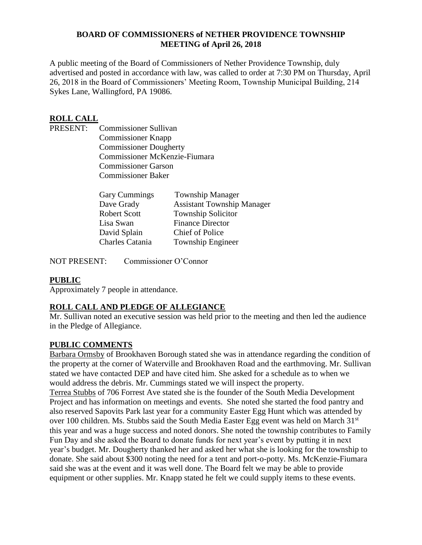#### **BOARD OF COMMISSIONERS of NETHER PROVIDENCE TOWNSHIP MEETING of April 26, 2018**

A public meeting of the Board of Commissioners of Nether Providence Township, duly advertised and posted in accordance with law, was called to order at 7:30 PM on Thursday, April 26, 2018 in the Board of Commissioners' Meeting Room, Township Municipal Building, 214 Sykes Lane, Wallingford, PA 19086.

### **ROLL CALL**

PRESENT: Commissioner Sullivan Commissioner Knapp Commissioner Dougherty Commissioner McKenzie-Fiumara Commissioner Garson Commissioner Baker

| <b>Gary Cummings</b> | <b>Township Manager</b>           |
|----------------------|-----------------------------------|
| Dave Grady           | <b>Assistant Township Manager</b> |
| <b>Robert Scott</b>  | <b>Township Solicitor</b>         |
| Lisa Swan            | <b>Finance Director</b>           |
| David Splain         | <b>Chief of Police</b>            |
| Charles Catania      | Township Engineer                 |

NOT PRESENT: Commissioner O'Connor

### **PUBLIC**

Approximately 7 people in attendance.

### **ROLL CALL AND PLEDGE OF ALLEGIANCE**

Mr. Sullivan noted an executive session was held prior to the meeting and then led the audience in the Pledge of Allegiance.

#### **PUBLIC COMMENTS**

Barbara Ormsby of Brookhaven Borough stated she was in attendance regarding the condition of the property at the corner of Waterville and Brookhaven Road and the earthmoving. Mr. Sullivan stated we have contacted DEP and have cited him. She asked for a schedule as to when we would address the debris. Mr. Cummings stated we will inspect the property.

Terrea Stubbs of 706 Forrest Ave stated she is the founder of the South Media Development Project and has information on meetings and events. She noted she started the food pantry and also reserved Sapovits Park last year for a community Easter Egg Hunt which was attended by over 100 children. Ms. Stubbs said the South Media Easter Egg event was held on March 31<sup>st</sup> this year and was a huge success and noted donors. She noted the township contributes to Family Fun Day and she asked the Board to donate funds for next year's event by putting it in next year's budget. Mr. Dougherty thanked her and asked her what she is looking for the township to donate. She said about \$300 noting the need for a tent and port-o-potty. Ms. McKenzie-Fiumara said she was at the event and it was well done. The Board felt we may be able to provide equipment or other supplies. Mr. Knapp stated he felt we could supply items to these events.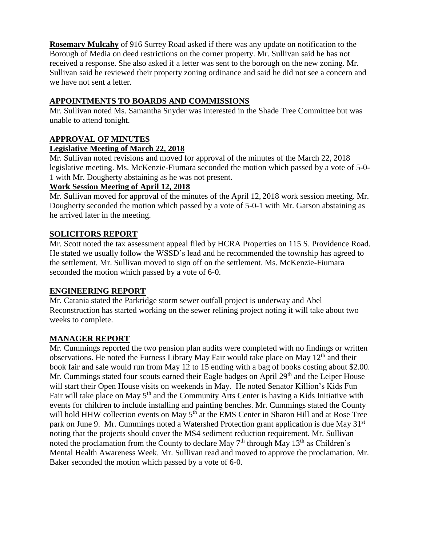**Rosemary Mulcahy** of 916 Surrey Road asked if there was any update on notification to the Borough of Media on deed restrictions on the corner property. Mr. Sullivan said he has not received a response. She also asked if a letter was sent to the borough on the new zoning. Mr. Sullivan said he reviewed their property zoning ordinance and said he did not see a concern and we have not sent a letter.

## **APPOINTMENTS TO BOARDS AND COMMISSIONS**

Mr. Sullivan noted Ms. Samantha Snyder was interested in the Shade Tree Committee but was unable to attend tonight.

## **APPROVAL OF MINUTES**

### **Legislative Meeting of March 22, 2018**

Mr. Sullivan noted revisions and moved for approval of the minutes of the March 22, 2018 legislative meeting. Ms. McKenzie-Fiumara seconded the motion which passed by a vote of 5-0- 1 with Mr. Dougherty abstaining as he was not present.

### **Work Session Meeting of April 12, 2018**

Mr. Sullivan moved for approval of the minutes of the April 12, 2018 work session meeting. Mr. Dougherty seconded the motion which passed by a vote of 5-0-1 with Mr. Garson abstaining as he arrived later in the meeting.

### **SOLICITORS REPORT**

Mr. Scott noted the tax assessment appeal filed by HCRA Properties on 115 S. Providence Road. He stated we usually follow the WSSD's lead and he recommended the township has agreed to the settlement. Mr. Sullivan moved to sign off on the settlement. Ms. McKenzie-Fiumara seconded the motion which passed by a vote of 6-0.

### **ENGINEERING REPORT**

Mr. Catania stated the Parkridge storm sewer outfall project is underway and Abel Reconstruction has started working on the sewer relining project noting it will take about two weeks to complete.

### **MANAGER REPORT**

Mr. Cummings reported the two pension plan audits were completed with no findings or written observations. He noted the Furness Library May Fair would take place on May  $12<sup>th</sup>$  and their book fair and sale would run from May 12 to 15 ending with a bag of books costing about \$2.00. Mr. Cummings stated four scouts earned their Eagle badges on April 29<sup>th</sup> and the Leiper House will start their Open House visits on weekends in May. He noted Senator Killion's Kids Fun Fair will take place on May  $5<sup>th</sup>$  and the Community Arts Center is having a Kids Initiative with events for children to include installing and painting benches. Mr. Cummings stated the County will hold HHW collection events on May  $5<sup>th</sup>$  at the EMS Center in Sharon Hill and at Rose Tree park on June 9. Mr. Cummings noted a Watershed Protection grant application is due May 31<sup>st</sup> noting that the projects should cover the MS4 sediment reduction requirement. Mr. Sullivan noted the proclamation from the County to declare May  $7<sup>th</sup>$  through May  $13<sup>th</sup>$  as Children's Mental Health Awareness Week. Mr. Sullivan read and moved to approve the proclamation. Mr. Baker seconded the motion which passed by a vote of 6-0.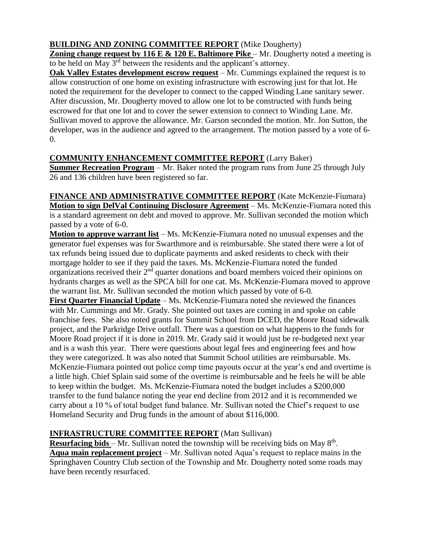## **BUILDING AND ZONING COMMITTEE REPORT** (Mike Dougherty)

**Zoning change request by 116 E & 120 E. Baltimore Pike** – Mr. Dougherty noted a meeting is to be held on May 3rd between the residents and the applicant's attorney.

**Oak Valley Estates development escrow request** – Mr. Cummings explained the request is to allow construction of one home on existing infrastructure with escrowing just for that lot. He noted the requirement for the developer to connect to the capped Winding Lane sanitary sewer. After discussion, Mr. Dougherty moved to allow one lot to be constructed with funds being escrowed for that one lot and to cover the sewer extension to connect to Winding Lane. Mr. Sullivan moved to approve the allowance. Mr. Garson seconded the motion. Mr. Jon Sutton, the developer, was in the audience and agreed to the arrangement. The motion passed by a vote of 6- 0.

## **COMMUNITY ENHANCEMENT COMMITTEE REPORT** (Larry Baker)

**Summer Recreation Program** – Mr. Baker noted the program runs from June 25 through July 26 and 136 children have been registered so far.

**FINANCE AND ADMINISTRATIVE COMMITTEE REPORT** (Kate McKenzie-Fiumara) **Motion to sign DelVal Continuing Disclosure Agreement** – Ms. McKenzie-Fiumara noted this is a standard agreement on debt and moved to approve. Mr. Sullivan seconded the motion which passed by a vote of 6-0.

**Motion to approve warrant list** – Ms. McKenzie-Fiumara noted no unusual expenses and the generator fuel expenses was for Swarthmore and is reimbursable. She stated there were a lot of tax refunds being issued due to duplicate payments and asked residents to check with their mortgage holder to see if they paid the taxes. Ms. McKenzie-Fiumara noted the funded organizations received their  $2<sup>nd</sup>$  quarter donations and board members voiced their opinions on hydrants charges as well as the SPCA bill for one cat. Ms. McKenzie-Fiumara moved to approve the warrant list. Mr. Sullivan seconded the motion which passed by vote of 6-0.

**First Quarter Financial Update** – Ms. McKenzie-Fiumara noted she reviewed the finances with Mr. Cummings and Mr. Grady. She pointed out taxes are coming in and spoke on cable franchise fees. She also noted grants for Summit School from DCED, the Moore Road sidewalk project, and the Parkridge Drive outfall. There was a question on what happens to the funds for Moore Road project if it is done in 2019. Mr. Grady said it would just be re-budgeted next year and is a wash this year. There were questions about legal fees and engineering fees and how they were categorized. It was also noted that Summit School utilities are reimbursable. Ms. McKenzie-Fiumara pointed out police comp time payouts occur at the year's end and overtime is a little high. Chief Splain said some of the overtime is reimbursable and he feels he will be able to keep within the budget. Ms. McKenzie-Fiumara noted the budget includes a \$200,000 transfer to the fund balance noting the year end decline from 2012 and it is recommended we carry about a 10 % of total budget fund balance. Mr. Sullivan noted the Chief's request to use Homeland Security and Drug funds in the amount of about \$116,000.

# **INFRASTRUCTURE COMMITTEE REPORT** (Matt Sullivan)

**Resurfacing bids** – Mr. Sullivan noted the township will be receiving bids on May 8<sup>th</sup>. **Aqua main replacement project** – Mr. Sullivan noted Aqua's request to replace mains in the Springhaven Country Club section of the Township and Mr. Dougherty noted some roads may have been recently resurfaced.